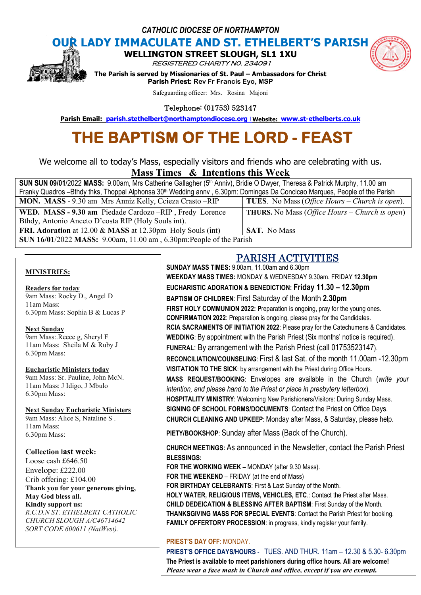*CATHOLIC DIOCESE OF NORTHAMPTON*



**OUR LADY IMMACULATE AND ST. ETHELBERT'S PARISH<br>
WELLINGTON STREET SLOUGH, SL1 1XU** 

**WELLINGTON STREET** 

REGISTERED CHARITY N0. 234091

**The Parism INDITION STREET SLOUGH, SL1 1XU<br>***REGISTERED CHARITY NO. 234091***<br>The Parish is served by Missionaries of St. Paul – Ambassadors for Christ Parish Priest: Rev Fr Francis Eyo, MSP Parish Email:** Parish is served by Missionaries of St. Paul – Ambassadors for Christ<br> **Parish Priest:** Rev Fr Francis Eyo, MSP<br>
Safeguarding officer: Mrs. Rosina Majoni<br> **Parish Email:** parish.stethelbert@northamptondioce

Safeguarding officer: Mrs. Rosina Majoni

Telephone: (01753) 523147

# **THE BAPTISM OF THE LORD LORD - FEAST FEAST**

We welcome all to today's Mass, especially visitors and friends who are celebrating with us. **Mass Times Times & Intentions this Week** 

| SUN SUN 09/01/2022 MASS: 9.00am, Mrs Catherine Gallagher (5 <sup>th</sup> Anniv), Bridie O Dwyer, Theresa & Patrick Murphy, 11.00 am  |                                                                |
|---------------------------------------------------------------------------------------------------------------------------------------|----------------------------------------------------------------|
| Franky Quadros-Bthdy thks, Thoppal Alphonsa 30 <sup>th</sup> Wedding annv, 6.30pm: Domingas Da Concicao Marques, People of the Parish |                                                                |
| MON. MASS - 9.30 am Mrs Anniz Kelly, Ccieza Crasto – RIP                                                                              | <b>TUES.</b> No Mass ( <i>Office Hours – Church is open</i> ). |
| WED. MASS - 9.30 am Piedade Cardozo-RIP, Fredy Lorence                                                                                | <b>THURS.</b> No Mass ( <i>Office Hours – Church is open</i> ) |
| Bthdy, Antonio Anceto D'costa RIP (Holy Souls int).                                                                                   |                                                                |
| FRI. Adoration at 12.00 & MASS at 12.30pm Holy Souls (int)                                                                            | <b>SAT.</b> No Mass                                            |
| SUN 16/01/2022 MASS: 9.00am, 11.00 am, 6.30pm: People of the Parish                                                                   |                                                                |

#### **MINISTRIES:**

#### **Readers for today** 9am Mass: Rocky D., Angel D 11am Mass: 6.30pm Mass: Sophia B & Lucas P

## **Next Sunday**

9am Mass:.Reece g, Sheryl F 11am Mass: Sheila M & Ruby J 6.30pm Mass:

#### **Eucharistic Ministers today**

9am Mass: Sr. Pauline, John McN. 11am Mass: J Idigo, J Mbulo 6.30pm Mass:

#### **Next Sunday Eucharistic Ministers**

9am Mass: Alice S, Nataline S . 11am Mass: 6.30pm Mass:

#### **Collection last week:**

Loose cash £646.50 Envelope: £222.00 Crib offering: £104.00 **Thank you for your generous giving, May God bless all. Kindly support us:** *R.C.D.N ST. ETHELBERT CATHOLIC*

*CHURCH SLOUGH A/C46714642 SORT CODE 600611 (NatWest).*

### PARISH ACTIVITIES ACTIVITIES

**SUNDAY MASS TIMES:** 9.00am, 11.00am and 6.30pm **WEEKDAY MASS TIMES:** MONDAY & WEDNESDAY 9.30am. FRIDAY 9.30am. FRIDAY **12.30pm EUCHARISTIC ADORATION & BENEDICTION: Friday 11.30 – 12.30pm BAPTISM OF CHILDREN**: First Saturday of the Month **2.30pm FIRST HOLY COMMUNION 2022: Preparation is ongoing, pray for the young ones. CONFIRMATION 2022**: Preparation is ongoing, please pray for the Candidates. **CONFIRMATION 2022**: Preparation is ongoing, please pray for the Candidates.<br>RCIA SACRAMENTS OF INITIATION 2022: Please pray for the Catechumens & Candidates. WEDDING: By appointment with the Parish Priest (Six months' notice is required). FUNERAL: By arrangement with the Parish Priest (call 01753523147). RECONCILIATION/COUNSELING: First & last Sat. of the month 11.00am -12.30pm **VISITATION TO THE SICK**: by arrangement with the Priest during Office Hours. **VISITATION TO THE SICK**: by arrangement with the Priest during Office Hours.<br>MASS REQUEST/BOOKING: Envelopes are available in the Church (*write your intention, and please hand to the Priest or place in presbytery letterbox*). **HOSPITALITY MINISTRY**: Welcoming New Parishioners/Visitors: During Sunday Mass. **SIGNING OF SCHOOL FORMS/DOCUMENTS**: Contact the Priest on Office Days. HOSPITALITY MINISTRY: Welcoming New Parishioners/Visitors: During Sunday Mass.<br>SIGNING OF SCHOOL FORMS/DOCUMENTS: Contact the Priest on Office Days.<br>CHURCH CLEANING AND UPKEEP: Monday after Mass, & Saturday, please help. PIETY/BOOKSHOP: Sunday after Mass (Back of the Church). **CHURCH MEETINGS:** As announced in the Newsletter, contact the Parish Priest **BLESSINGS:** FOR THE WORKING WEEK - MONDAY (after 9.30 Mass). **FOR THE WEEKEND** – FRIDAY (at the end of Mass) **FOR BIRTHDAY CELEBRANTS**: First & Last Sunday of the Month. **HOLY WATER, RELIGIOUS ITEMS, VEHICLES, ETC.: Contact the Priest after Mass. CHILD DEDEICATION & BLESSING AFTER BAPTISM BAPTISM**: First Sunday of the Month. **THANKSGIVING MASS FOR SPECIAL EVENTS**: Contact the Parish Priest for booking.

**FAMILY OFFERTORY PROCESSION**: in progress, kindly register your family.

### **PRIEST'S DAY OFF**: MONDAY.

**FAMILY OFFERTORY PROCESSION**: in progress, kindly register your family.<br><mark>PRIEST'S DAY OFF: MOND</mark>AY.<br>**PRIEST'S OFFICE DAYS/HOURS** - TUES. AND THUR. 11am – 12.30 & 5.30- 6.30pm **The Priest is available to meet parishioners during office hours hours. All are welcome!** Please wear a face mask in Church and office, except if you are exempt.